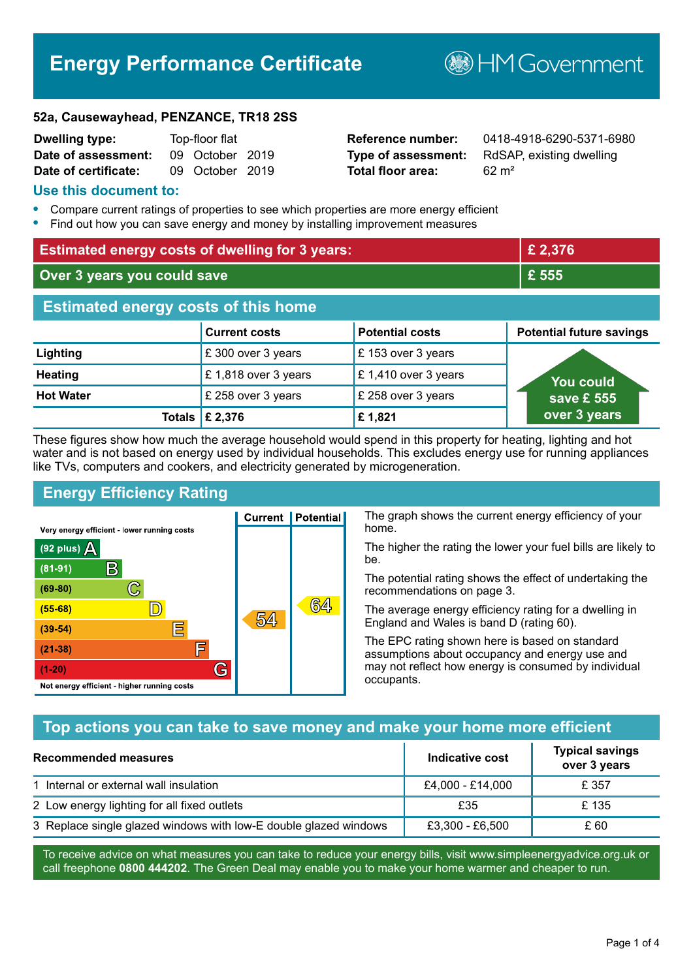# **Energy Performance Certificate**

**B**HMGovernment

#### **52a, Causewayhead, PENZANCE, TR18 2SS**

| <b>Dwelling type:</b> | Top-floor flat |                 |  |
|-----------------------|----------------|-----------------|--|
| Date of assessment:   |                | 09 October 2019 |  |
| Date of certificate:  |                | 09 October 2019 |  |

# **Total floor area:** 62 m<sup>2</sup>

**Reference number:** 0418-4918-6290-5371-6980 **Type of assessment:** RdSAP, existing dwelling

#### **Use this document to:**

- **•** Compare current ratings of properties to see which properties are more energy efficient
- **•** Find out how you can save energy and money by installing improvement measures

| <b>Estimated energy costs of dwelling for 3 years:</b> |                                 |                        | £ 2,376                         |
|--------------------------------------------------------|---------------------------------|------------------------|---------------------------------|
| Over 3 years you could save                            |                                 | £ 555                  |                                 |
| <b>Estimated energy costs of this home</b>             |                                 |                        |                                 |
|                                                        | <b>Current costs</b>            | <b>Potential costs</b> | <b>Potential future savings</b> |
| Lighting                                               | £ 300 over 3 years              | £153 over 3 years      |                                 |
| <b>Heating</b>                                         | £1,818 over 3 years             | £1,410 over 3 years    | <u>You could</u>                |
| <b>Hot Water</b>                                       | £ 258 over 3 years              | £ 258 over 3 years     | save £ 555                      |
|                                                        | Totals $\mathbf \epsilon$ 2,376 | £1,821                 | over 3 years                    |

These figures show how much the average household would spend in this property for heating, lighting and hot water and is not based on energy used by individual households. This excludes energy use for running appliances like TVs, computers and cookers, and electricity generated by microgeneration.

**Current | Potential** 

54

# **Energy Efficiency Rating**

 $\mathbb{C}$ 

 $\mathbb{D}$ 

E

眉

G

Very energy efficient - lower running costs

 $\mathsf{R}% _{T}$ 

Not energy efficient - higher running costs

 $(92$  plus)

 $(81 - 91)$ 

 $(69 - 80)$ 

 $(55-68)$ 

 $(39 - 54)$ 

 $(21-38)$ 

 $(1-20)$ 

- 78

The graph shows the current energy efficiency of your home.

The higher the rating the lower your fuel bills are likely to be.

The potential rating shows the effect of undertaking the recommendations on page 3.

The average energy efficiency rating for a dwelling in England and Wales is band D (rating 60).

The EPC rating shown here is based on standard assumptions about occupancy and energy use and may not reflect how energy is consumed by individual occupants.

# **Top actions you can take to save money and make your home more efficient**

64

| Recommended measures                                             | Indicative cost  | <b>Typical savings</b><br>over 3 years |
|------------------------------------------------------------------|------------------|----------------------------------------|
| 1 Internal or external wall insulation                           | £4,000 - £14,000 | £ 357                                  |
| 2 Low energy lighting for all fixed outlets                      | £35              | £135                                   |
| 3 Replace single glazed windows with low-E double glazed windows | £3,300 - £6,500  | £ 60                                   |

To receive advice on what measures you can take to reduce your energy bills, visit www.simpleenergyadvice.org.uk or call freephone **0800 444202**. The Green Deal may enable you to make your home warmer and cheaper to run.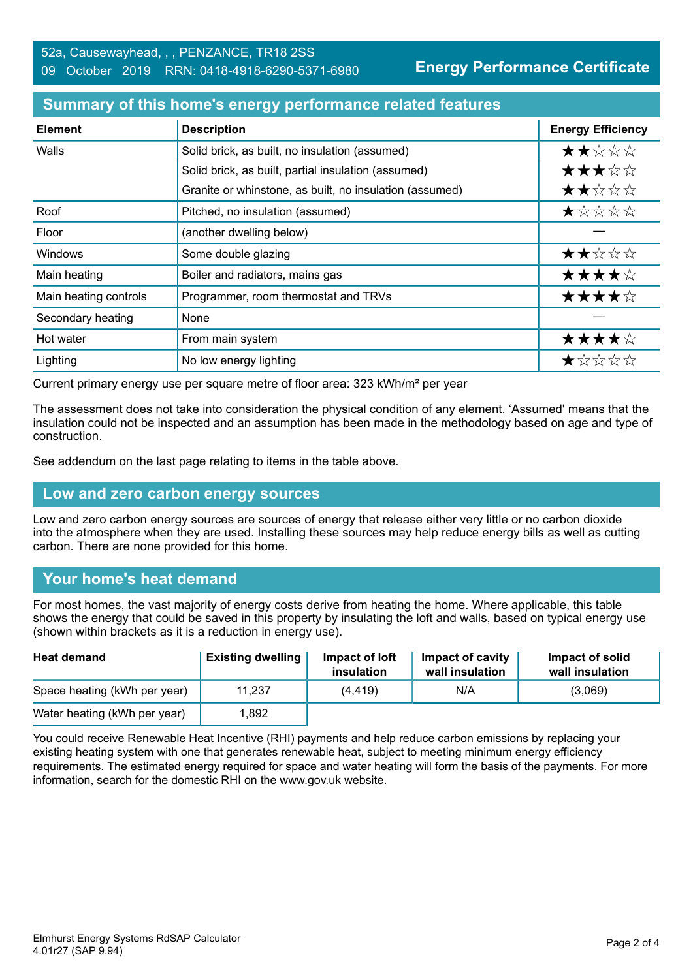**Energy Performance Certificate**

#### **Summary of this home's energy performance related features**

| <b>Element</b>        | <b>Description</b>                                      | <b>Energy Efficiency</b> |
|-----------------------|---------------------------------------------------------|--------------------------|
| Walls                 | Solid brick, as built, no insulation (assumed)          | ★★☆☆☆                    |
|                       | Solid brick, as built, partial insulation (assumed)     | ★★★☆☆                    |
|                       | Granite or whinstone, as built, no insulation (assumed) | ★★☆☆☆                    |
| Roof                  | Pitched, no insulation (assumed)                        | ★☆☆☆☆                    |
| Floor                 | (another dwelling below)                                |                          |
| Windows               | Some double glazing                                     | ★★☆☆☆                    |
| Main heating          | Boiler and radiators, mains gas                         | ★★★★☆                    |
| Main heating controls | Programmer, room thermostat and TRVs                    | ★★★★☆                    |
| Secondary heating     | None                                                    |                          |
| Hot water             | From main system                                        | ★★★★☆                    |
| Lighting              | No low energy lighting                                  | ★☆☆☆☆                    |

Current primary energy use per square metre of floor area: 323 kWh/m² per year

The assessment does not take into consideration the physical condition of any element. 'Assumed' means that the insulation could not be inspected and an assumption has been made in the methodology based on age and type of construction.

See addendum on the last page relating to items in the table above.

#### **Low and zero carbon energy sources**

Low and zero carbon energy sources are sources of energy that release either very little or no carbon dioxide into the atmosphere when they are used. Installing these sources may help reduce energy bills as well as cutting carbon. There are none provided for this home.

# **Your home's heat demand**

For most homes, the vast majority of energy costs derive from heating the home. Where applicable, this table shows the energy that could be saved in this property by insulating the loft and walls, based on typical energy use (shown within brackets as it is a reduction in energy use).

| <b>Heat demand</b>           | <b>Existing dwelling</b> | Impact of loft<br>insulation | Impact of cavity<br>wall insulation | Impact of solid<br>wall insulation |
|------------------------------|--------------------------|------------------------------|-------------------------------------|------------------------------------|
| Space heating (kWh per year) | 11.237                   | (4, 419)                     | N/A                                 | (3,069)                            |
| Water heating (kWh per year) | .892                     |                              |                                     |                                    |

You could receive Renewable Heat Incentive (RHI) payments and help reduce carbon emissions by replacing your existing heating system with one that generates renewable heat, subject to meeting minimum energy efficiency requirements. The estimated energy required for space and water heating will form the basis of the payments. For more information, search for the domestic RHI on the www.gov.uk website.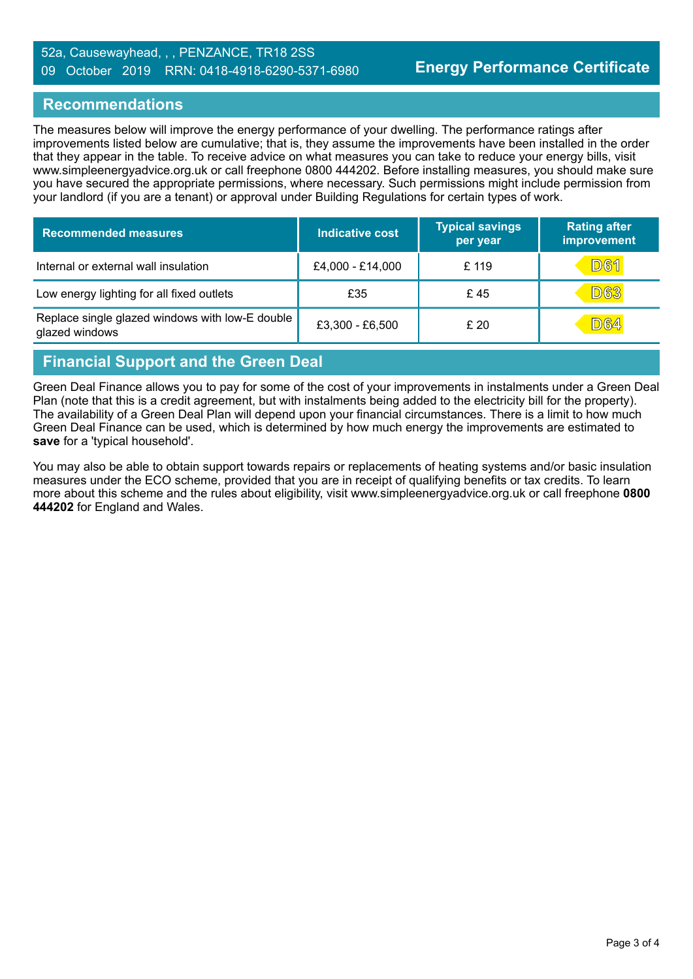#### 52a, Causewayhead, , , PENZANCE, TR18 2SS 09 October 2019 RRN: 0418-4918-6290-5371-6980

### **Recommendations**

The measures below will improve the energy performance of your dwelling. The performance ratings after improvements listed below are cumulative; that is, they assume the improvements have been installed in the order that they appear in the table. To receive advice on what measures you can take to reduce your energy bills, visit www.simpleenergyadvice.org.uk or call freephone 0800 444202. Before installing measures, you should make sure you have secured the appropriate permissions, where necessary. Such permissions might include permission from your landlord (if you are a tenant) or approval under Building Regulations for certain types of work.

| <b>Recommended measures</b>                                       | <b>Indicative cost</b> | <b>Typical savings</b><br>per year | <b>Rating after</b><br>improvement |
|-------------------------------------------------------------------|------------------------|------------------------------------|------------------------------------|
| Internal or external wall insulation                              | £4,000 - £14,000       | £ 119                              | <b>D61</b>                         |
| Low energy lighting for all fixed outlets                         | £35                    | £45                                | <b>D63</b>                         |
| Replace single glazed windows with low-E double<br>glazed windows | £3,300 - £6,500        | £20                                | D64                                |

## **Financial Support and the Green Deal**

Green Deal Finance allows you to pay for some of the cost of your improvements in instalments under a Green Deal Plan (note that this is a credit agreement, but with instalments being added to the electricity bill for the property). The availability of a Green Deal Plan will depend upon your financial circumstances. There is a limit to how much Green Deal Finance can be used, which is determined by how much energy the improvements are estimated to **save** for a 'typical household'.

You may also be able to obtain support towards repairs or replacements of heating systems and/or basic insulation measures under the ECO scheme, provided that you are in receipt of qualifying benefits or tax credits. To learn more about this scheme and the rules about eligibility, visit www.simpleenergyadvice.org.uk or call freephone **0800 444202** for England and Wales.